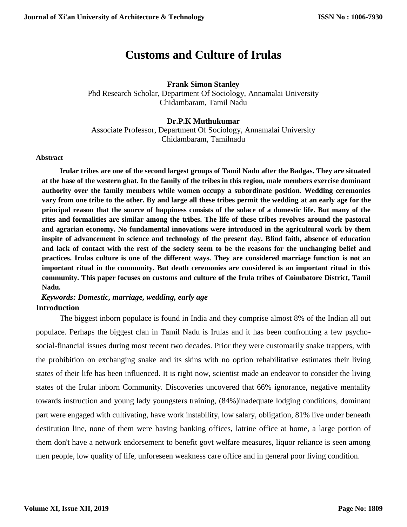# **Customs and Culture of Irulas**

## **Frank Simon Stanley**

Phd Research Scholar, Department Of Sociology, Annamalai University Chidambaram, Tamil Nadu

## **Dr.P.K Muthukumar** Associate Professor, Department Of Sociology, Annamalai University Chidambaram, Tamilnadu

## **Abstract**

**Irular tribes are one of the second largest groups of Tamil Nadu after the Badgas. They are situated at the base of the western ghat. In the family of the tribes in this region, male members exercise dominant authority over the family members while women occupy a subordinate position. Wedding ceremonies vary from one tribe to the other. By and large all these tribes permit the wedding at an early age for the principal reason that the source of happiness consists of the solace of a domestic life. But many of the rites and formalities are similar among the tribes. The life of these tribes revolves around the pastoral and agrarian economy. No fundamental innovations were introduced in the agricultural work by them inspite of advancement in science and technology of the present day. Blind faith, absence of education and lack of contact with the rest of the society seem to be the reasons for the unchanging belief and practices. Irulas culture is one of the different ways. They are considered marriage function is not an important ritual in the community. But death ceremonies are considered is an important ritual in this community. This paper focuses on customs and culture of the Irula tribes of Coimbatore District, Tamil Nadu.**

## *Keywords: Domestic, marriage, wedding, early age* **Introduction**

The biggest inborn populace is found in India and they comprise almost 8% of the Indian all out populace. Perhaps the biggest clan in Tamil Nadu is Irulas and it has been confronting a few psychosocial-financial issues during most recent two decades. Prior they were customarily snake trappers, with the prohibition on exchanging snake and its skins with no option rehabilitative estimates their living states of their life has been influenced. It is right now, scientist made an endeavor to consider the living states of the Irular inborn Community. Discoveries uncovered that 66% ignorance, negative mentality towards instruction and young lady youngsters training, (84%)inadequate lodging conditions, dominant part were engaged with cultivating, have work instability, low salary, obligation, 81% live under beneath destitution line, none of them were having banking offices, latrine office at home, a large portion of them don't have a network endorsement to benefit govt welfare measures, liquor reliance is seen among men people, low quality of life, unforeseen weakness care office and in general poor living condition.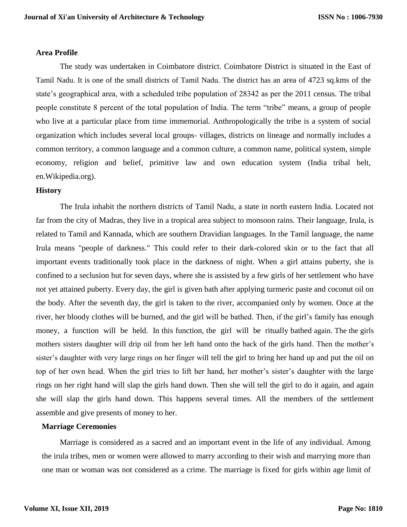#### **Area Profile**

The study was undertaken in Coimbatore district. Coimbatore District is situated in the East of Tamil Nadu. It is one of the small districts of Tamil Nadu. The district has an area of 4723 sq.kms of the state's geographical area, with a scheduled tribe population of 28342 as per the 2011 census. The tribal people constitute 8 percent of the total population of India. The term "tribe" means, a group of people who live at a particular place from time immemorial. Anthropologically the tribe is a system of social organization which includes several local groups- villages, districts on lineage and normally includes a common territory, a common language and a common culture, a common name, political system, simple economy, religion and belief, primitive law and own education system (India tribal belt, en.Wikipedia.org).

## **History**

The Irula inhabit the northern districts of Tamil Nadu, a state in north eastern India. Located not far from the city of Madras, they live in a tropical area subject to monsoon rains. Their language, Irula, is related to Tamil and Kannada, which are southern Dravidian languages. In the Tamil language, the name Irula means "people of darkness." This could refer to their dark-colored skin or to the fact that all important events traditionally took place in the darkness of night. When a girl attains puberty, she is confined to a seclusion hut for seven days, where she is assisted by a few girls of her settlement who have not yet attained puberty. Every day, the girl is given bath after applying turmeric paste and coconut oil on the body. After the seventh day, the girl is taken to the river, accompanied only by women. Once at the river, her bloody clothes will be burned, and the girl will be bathed. Then, if the girl's family has enough money, a function will be held. In this function, the girl will be ritually bathed again. The the girls mothers sisters daughter will drip oil from her left hand onto the back of the girls hand. Then the mother's sister's daughter with very large rings on her finger will tell the girl to bring her hand up and put the oil on top of her own head. When the girl tries to lift her hand, her mother's sister's daughter with the large rings on her right hand will slap the girls hand down. Then she will tell the girl to do it again, and again she will slap the girls hand down. This happens several times. All the members of the settlement assemble and give presents of money to her.

## **Marriage Ceremonies**

Marriage is considered as a sacred and an important event in the life of any individual. Among the irula tribes, men or women were allowed to marry according to their wish and marrying more than one man or woman was not considered as a crime. The marriage is fixed for girls within age limit of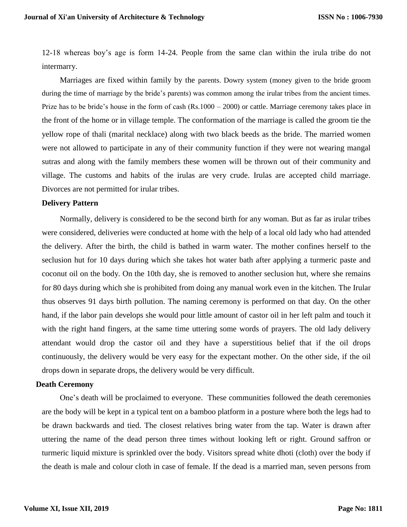12-18 whereas boy's age is form 14-24. People from the same clan within the irula tribe do not intermarry.

Marriages are fixed within family by the parents. Dowry system (money given to the bride groom during the time of marriage by the bride's parents) was common among the irular tribes from the ancient times. Prize has to be bride's house in the form of cash (Rs.1000 – 2000) or cattle. Marriage ceremony takes place in the front of the home or in village temple. The conformation of the marriage is called the groom tie the yellow rope of thali (marital necklace) along with two black beeds as the bride. The married women were not allowed to participate in any of their community function if they were not wearing mangal sutras and along with the family members these women will be thrown out of their community and village. The customs and habits of the irulas are very crude. Irulas are accepted child marriage. Divorces are not permitted for irular tribes.

#### **Delivery Pattern**

Normally, delivery is considered to be the second birth for any woman. But as far as irular tribes were considered, deliveries were conducted at home with the help of a local old lady who had attended the delivery. After the birth, the child is bathed in warm water. The mother confines herself to the seclusion hut for 10 days during which she takes hot water bath after applying a turmeric paste and coconut oil on the body. On the 10th day, she is removed to another seclusion hut, where she remains for 80 days during which she is prohibited from doing any manual work even in the kitchen. The Irular thus observes 91 days birth pollution. The naming ceremony is performed on that day. On the other hand, if the labor pain develops she would pour little amount of castor oil in her left palm and touch it with the right hand fingers, at the same time uttering some words of prayers. The old lady delivery attendant would drop the castor oil and they have a superstitious belief that if the oil drops continuously, the delivery would be very easy for the expectant mother. On the other side, if the oil drops down in separate drops, the delivery would be very difficult.

## **Death Ceremony**

One's death will be proclaimed to everyone. These communities followed the death ceremonies are the body will be kept in a typical tent on a bamboo platform in a posture where both the legs had to be drawn backwards and tied. The closest relatives bring water from the tap. Water is drawn after uttering the name of the dead person three times without looking left or right. Ground saffron or turmeric liquid mixture is sprinkled over the body. Visitors spread white dhoti (cloth) over the body if the death is male and colour cloth in case of female. If the dead is a married man, seven persons from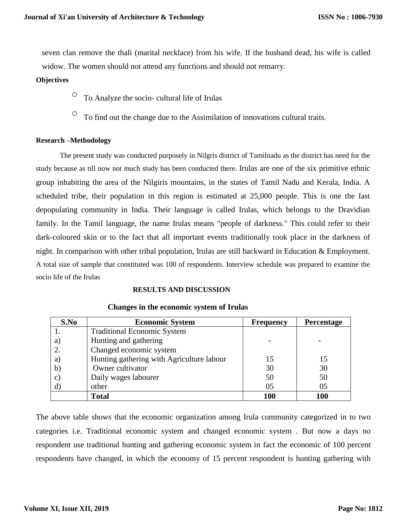seven clan remove the thali (marital necklace) from his wife. If the husband dead, his wife is called widow. The women should not attend any functions and should not remarry.

## **Objectives**

- $\circ$  To Analyze the socio- cultural life of Irulas
- $\circ$  To find out the change due to the Assimilation of innovations cultural traits.

## **Research –Methodology**

The present study was conducted purposely in Nilgris district of Tamilnadu as the district has need for the study because as till now not much study has been conducted there. Irulas are one of the six primitive ethnic group inhabiting the area of the Nilgiris mountains, in the states of Tamil Nadu and Kerala, India. A scheduled tribe, their population in this region is estimated at 25,000 people. This is one the fast depopulating community in India. Their language is called Irulas, which belongs to the Dravidian family. In the Tamil language, the name Irulas means "people of darkness." This could refer to their dark-coloured skin or to the fact that all important events traditionally took place in the darkness of night. In comparison with other tribal population, Irulas are still backward in Education & Employment. A total size of sample that constituted was 100 of respondents. Interview schedule was prepared to examine the socio life of the Irulas

#### **RESULTS AND DISCUSSION**

| S.No         | <b>Economic System</b>                    | <b>Frequency</b> | Percentage |
|--------------|-------------------------------------------|------------------|------------|
|              | <b>Traditional Economic System</b>        |                  |            |
| a)           | Hunting and gathering                     |                  |            |
|              | Changed economic system                   |                  |            |
| a)           | Hunting gathering with Agriculture labour | 15               | 15         |
| $\mathbf{b}$ | Owner cultivator                          | 30               | 30         |
| $\mathbf{C}$ | Daily wages labourer                      | 50               | 50         |
| $\mathbf{d}$ | other                                     | 05               | 05         |
|              | <b>Total</b>                              | <b>100</b>       | 100        |

#### **Changes in the economic system of Irulas**

The above table shows that the economic organization among Irula community categorized in to two categories i.e. Traditional economic system and changed economic system . But now a days no respondent use traditional hunting and gathering economic system in fact the economic of 100 percent respondents have changed, in which the economy of 15 percent respondent is hunting gathering with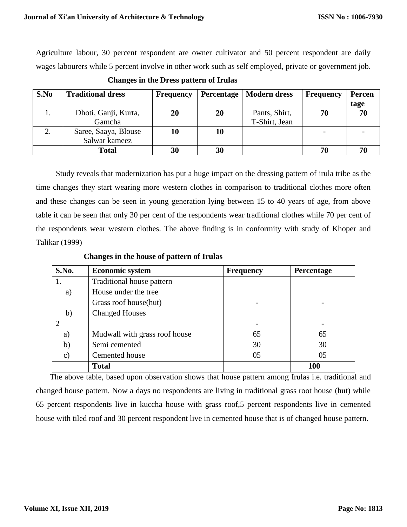Agriculture labour, 30 percent respondent are owner cultivator and 50 percent respondent are daily wages labourers while 5 percent involve in other work such as self employed, private or government job.

| S.No | <b>Traditional dress</b>              | <b>Frequency</b> |    | Percentage   Modern dress      | <b>Frequency</b> | <b>Percen</b><br>tage |
|------|---------------------------------------|------------------|----|--------------------------------|------------------|-----------------------|
| 1.   | Dhoti, Ganji, Kurta,<br>Gamcha        | 20               | 20 | Pants, Shirt,<br>T-Shirt, Jean | 70               | 70                    |
|      | Saree, Saaya, Blouse<br>Salwar kameez | 10               | 10 |                                |                  |                       |
|      | <b>Total</b>                          | 30               | 30 |                                | 70               |                       |

**Changes in the Dress pattern of Irulas** 

 Study reveals that modernization has put a huge impact on the dressing pattern of irula tribe as the time changes they start wearing more western clothes in comparison to traditional clothes more often and these changes can be seen in young generation lying between 15 to 40 years of age, from above table it can be seen that only 30 per cent of the respondents wear traditional clothes while 70 per cent of the respondents wear western clothes. The above finding is in conformity with study of Khoper and Talikar (1999)

**Changes in the house of pattern of Irulas** 

| S.No.         | <b>Economic system</b>        | <b>Frequency</b> | <b>Percentage</b> |
|---------------|-------------------------------|------------------|-------------------|
|               | Traditional house pattern     |                  |                   |
| a)            | House under the tree          |                  |                   |
|               | Grass roof house(hut)         |                  |                   |
| b)            | <b>Changed Houses</b>         |                  |                   |
|               |                               |                  |                   |
| a)            | Mudwall with grass roof house | 65               | 65                |
| b)            | Semi cemented                 | 30               | 30                |
| $\mathbf{c})$ | Cemented house                | 05               | 05                |
|               | <b>Total</b>                  |                  | <b>100</b>        |

The above table, based upon observation shows that house pattern among Irulas i.e. traditional and changed house pattern. Now a days no respondents are living in traditional grass root house (hut) while 65 percent respondents live in kuccha house with grass roof,5 percent respondents live in cemented house with tiled roof and 30 percent respondent live in cemented house that is of changed house pattern.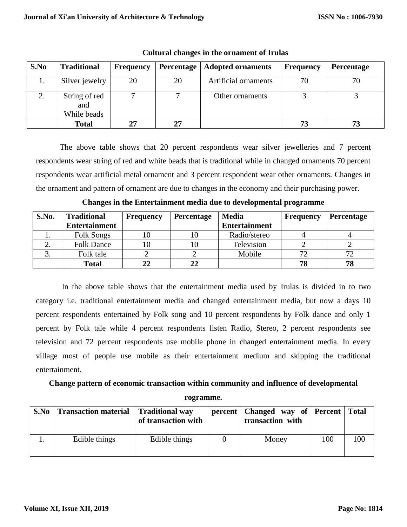| S.No | <b>Traditional</b>                  | <b>Frequency</b> | Percentage | <b>Adopted ornaments</b> | <b>Frequency</b> | Percentage |
|------|-------------------------------------|------------------|------------|--------------------------|------------------|------------|
| 1.   | Silver jewelry                      | 20               | 20         | Artificial ornaments     | 70               | 70         |
| 2.   | String of red<br>and<br>While beads |                  |            | Other ornaments          |                  |            |
|      | Total                               | 27               | 27         |                          | 73               | 73         |

**Cultural changes in the ornament of Irulas**

The above table shows that 20 percent respondents wear silver jewelleries and 7 percent respondents wear string of red and white beads that is traditional while in changed ornaments 70 percent respondents wear artificial metal ornament and 3 percent respondent wear other ornaments. Changes in the ornament and pattern of ornament are due to changes in the economy and their purchasing power.

| S.No. | <b>Traditional</b>   | <b>Frequency</b> | <b>Percentage</b> | <b>Media</b>         | <b>Frequency</b> | <b>Percentage</b> |
|-------|----------------------|------------------|-------------------|----------------------|------------------|-------------------|
|       | <b>Entertainment</b> |                  |                   | <b>Entertainment</b> |                  |                   |
|       | <b>Folk Songs</b>    |                  |                   | Radio/stereo         |                  |                   |
| ۷.    | <b>Folk Dance</b>    | 10               |                   | Television           |                  |                   |
| J.    | Folk tale            |                  |                   | Mobile               | $72^{\circ}$     | 70                |
|       | <b>Total</b>         |                  | 22                |                      | 78               | 78                |

**Changes in the Entertainment media due to developmental programme**

 In the above table shows that the entertainment media used by Irulas is divided in to two category i.e. traditional entertainment media and changed entertainment media, but now a days 10 percent respondents entertained by Folk song and 10 percent respondents by Folk dance and only 1 percent by Folk tale while 4 percent respondents listen Radio, Stereo, 2 percent respondents see television and 72 percent respondents use mobile phone in changed entertainment media. In every village most of people use mobile as their entertainment medium and skipping the traditional entertainment.

# **Change pattern of economic transaction within community and influence of developmental**

**rogramme.**

| S.No | <b>Transaction material</b> Traditional way | of transaction with | percent   Changed way of   Percent   Total<br>transaction with |     |     |
|------|---------------------------------------------|---------------------|----------------------------------------------------------------|-----|-----|
|      | Edible things                               | Edible things       | Money                                                          | 100 | 100 |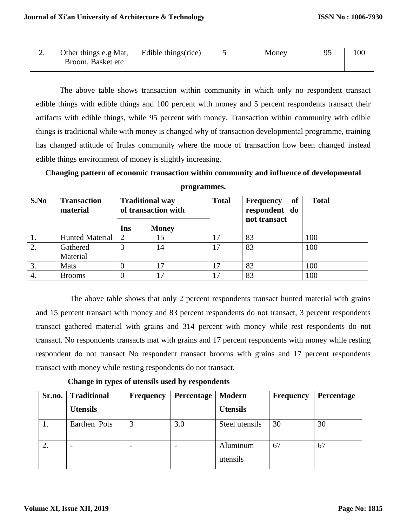| <u>.</u> | Other things e.g Mat, | Edible things (rice) | Money | $\Omega$ | 100 |
|----------|-----------------------|----------------------|-------|----------|-----|
|          | Broom, Basket etc     |                      |       |          |     |

The above table shows transaction within community in which only no respondent transact edible things with edible things and 100 percent with money and 5 percent respondents transact their artifacts with edible things, while 95 percent with money. Transaction within community with edible things is traditional while with money is changed why of transaction developmental programme, training has changed attitude of Irulas community where the mode of transaction how been changed instead edible things environment of money is slightly increasing.

**Changing pattern of economic transaction within community and influence of developmental** 

| S.No | <b>Transaction</b><br>material | <b>Traditional way</b><br>of transaction with |              | <b>Total</b> | of<br><b>Frequency</b><br>respondent do<br>not transact | <b>Total</b> |
|------|--------------------------------|-----------------------------------------------|--------------|--------------|---------------------------------------------------------|--------------|
|      |                                | Ins                                           | <b>Money</b> |              |                                                         |              |
|      | Hunted Material                | $\cdot$ 2                                     |              | 17           | 83                                                      | 100          |
| 2.   | Gathered                       | 2                                             | 14           | 17           | 83                                                      | 100          |
|      | Material                       |                                               |              |              |                                                         |              |
| 3.   | Mats                           |                                               |              | 17           | 83                                                      | 100          |
| 4.   | <b>Brooms</b>                  |                                               |              | 17           | 83                                                      | 100          |

**programmes.**

 The above table shows that only 2 percent respondents transact hunted material with grains and 15 percent transact with money and 83 percent respondents do not transact, 3 percent respondents transact gathered material with grains and 314 percent with money while rest respondents do not transact. No respondents transacts mat with grains and 17 percent respondents with money while resting respondent do not transact No respondent transact brooms with grains and 17 percent respondents transact with money while resting respondents do not transact,

**Change in types of utensils used by respondents**

| Sr.no. | <b>Traditional</b>       | <b>Frequency</b> | Percentage | Modern               | <b>Frequency</b> | Percentage |
|--------|--------------------------|------------------|------------|----------------------|------------------|------------|
|        | <b>Utensils</b>          |                  |            | <b>Utensils</b>      |                  |            |
|        | Earthen Pots             |                  | 3.0        | Steel utensils       | 30               | 30         |
| 2.     | $\overline{\phantom{0}}$ |                  |            | Aluminum<br>utensils | 67               | 67         |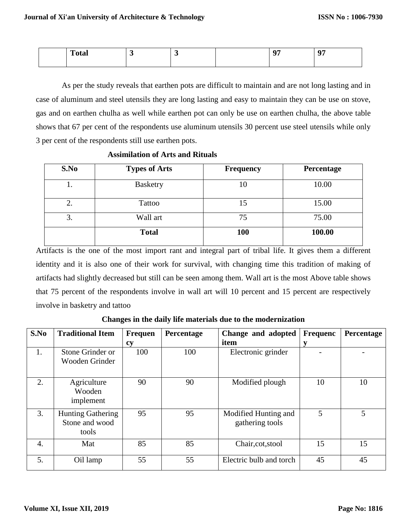| œ<br>____ |  | <b>AN</b><br> |  |
|-----------|--|---------------|--|
|           |  |               |  |

As per the study reveals that earthen pots are difficult to maintain and are not long lasting and in case of aluminum and steel utensils they are long lasting and easy to maintain they can be use on stove, gas and on earthen chulha as well while earthen pot can only be use on earthen chulha, the above table shows that 67 per cent of the respondents use aluminum utensils 30 percent use steel utensils while only 3 per cent of the respondents still use earthen pots.

| S.No | <b>Types of Arts</b> | <b>Frequency</b> | Percentage |
|------|----------------------|------------------|------------|
| ī.   | <b>Basketry</b>      | 10               | 10.00      |
| 2.   | Tattoo               | 15               | 15.00      |
| 3.   | Wall art             | 75               | 75.00      |
|      | <b>Total</b>         | 100              | 100.00     |

## **Assimilation of Arts and Rituals**

Artifacts is the one of the most import rant and integral part of tribal life. It gives them a different identity and it is also one of their work for survival, with changing time this tradition of making of artifacts had slightly decreased but still can be seen among them. Wall art is the most Above table shows that 75 percent of the respondents involve in wall art will 10 percent and 15 percent are respectively involve in basketry and tattoo

**Changes in the daily life materials due to the modernization**

| S.No | <b>Traditional Item</b>                             | <b>Frequen</b> | Percentage | Change and adopted                      | <b>Frequenc</b> | Percentage |
|------|-----------------------------------------------------|----------------|------------|-----------------------------------------|-----------------|------------|
|      |                                                     | cy             |            | item                                    | V               |            |
| 1.   | Stone Grinder or<br>Wooden Grinder                  | 100            | 100        | Electronic grinder                      |                 |            |
| 2.   | Agriculture<br>Wooden<br>implement                  | 90             | 90         | Modified plough                         | 10              | 10         |
| 3.   | <b>Hunting Gathering</b><br>Stone and wood<br>tools | 95             | 95         | Modified Hunting and<br>gathering tools | 5               | 5          |
| 4.   | Mat                                                 | 85             | 85         | Chair, cot, stool                       | 15              | 15         |
| 5.   | Oil lamp                                            | 55             | 55         | Electric bulb and torch                 | 45              | 45         |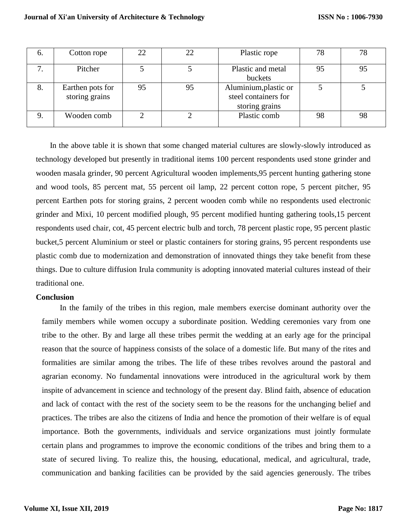| $\mathbf{b}$ | Cotton rope                        | 22 | 22 | Plastic rope                                                    | 78 | 78 |
|--------------|------------------------------------|----|----|-----------------------------------------------------------------|----|----|
| $\mathbf{r}$ | Pitcher                            |    |    | Plastic and metal<br>buckets                                    | 95 | 95 |
| 8.           | Earthen pots for<br>storing grains | 95 | 95 | Aluminium, plastic or<br>steel containers for<br>storing grains |    |    |
|              | Wooden comb                        |    |    | Plastic comb                                                    | 98 | 98 |

 In the above table it is shown that some changed material cultures are slowly-slowly introduced as technology developed but presently in traditional items 100 percent respondents used stone grinder and wooden masala grinder, 90 percent Agricultural wooden implements,95 percent hunting gathering stone and wood tools, 85 percent mat, 55 percent oil lamp, 22 percent cotton rope, 5 percent pitcher, 95 percent Earthen pots for storing grains, 2 percent wooden comb while no respondents used electronic grinder and Mixi, 10 percent modified plough, 95 percent modified hunting gathering tools,15 percent respondents used chair, cot, 45 percent electric bulb and torch, 78 percent plastic rope, 95 percent plastic bucket,5 percent Aluminium or steel or plastic containers for storing grains, 95 percent respondents use plastic comb due to modernization and demonstration of innovated things they take benefit from these things. Due to culture diffusion Irula community is adopting innovated material cultures instead of their traditional one.

## **Conclusion**

In the family of the tribes in this region, male members exercise dominant authority over the family members while women occupy a subordinate position. Wedding ceremonies vary from one tribe to the other. By and large all these tribes permit the wedding at an early age for the principal reason that the source of happiness consists of the solace of a domestic life. But many of the rites and formalities are similar among the tribes. The life of these tribes revolves around the pastoral and agrarian economy. No fundamental innovations were introduced in the agricultural work by them inspite of advancement in science and technology of the present day. Blind faith, absence of education and lack of contact with the rest of the society seem to be the reasons for the unchanging belief and practices. The tribes are also the citizens of India and hence the promotion of their welfare is of equal importance. Both the governments, individuals and service organizations must jointly formulate certain plans and programmes to improve the economic conditions of the tribes and bring them to a state of secured living. To realize this, the housing, educational, medical, and agricultural, trade, communication and banking facilities can be provided by the said agencies generously. The tribes